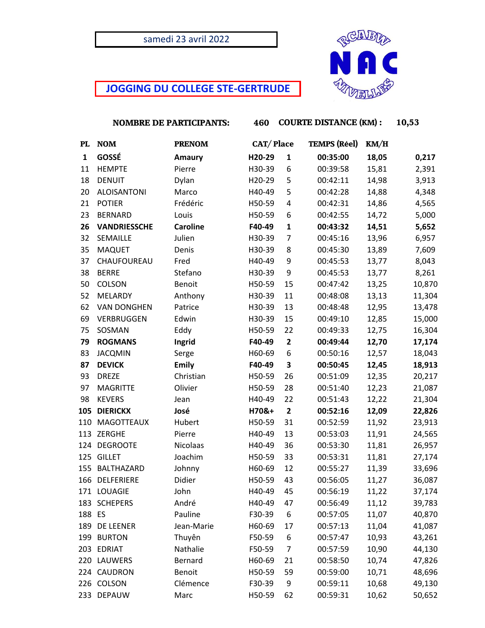## samedi 23 avril 2022

## **JOGGING DU COLLEGE STE-GERTRUDE**



 **NOMBRE DE PARTICIPANTS: 460 COURTE DISTANCE (KM) : 10,53**

| PL     | <b>NOM</b>          | <b>PRENOM</b>   | CAT/Place |                | <b>TEMPS</b> (Réel) | KM/H  |        |
|--------|---------------------|-----------------|-----------|----------------|---------------------|-------|--------|
| 1      | GOSSÉ               | Amaury          | H20-29    | $\mathbf{1}$   | 00:35:00            | 18,05 | 0,217  |
| 11     | <b>HEMPTE</b>       | Pierre          | H30-39    | 6              | 00:39:58            | 15,81 | 2,391  |
| 18     | <b>DENUIT</b>       | Dylan           | H20-29    | 5              | 00:42:11            | 14,98 | 3,913  |
| 20     | <b>ALOISANTONI</b>  | Marco           | H40-49    | 5              | 00:42:28            | 14,88 | 4,348  |
| 21     | <b>POTIER</b>       | Frédéric        | H50-59    | 4              | 00:42:31            | 14,86 | 4,565  |
| 23     | <b>BERNARD</b>      | Louis           | H50-59    | 6              | 00:42:55            | 14,72 | 5,000  |
| 26     | <b>VANDRIESSCHE</b> | <b>Caroline</b> | F40-49    | $\mathbf{1}$   | 00:43:32            | 14,51 | 5,652  |
| 32     | SEMAILLE            | Julien          | H30-39    | $\overline{7}$ | 00:45:16            | 13,96 | 6,957  |
| 35     | <b>MAQUET</b>       | Denis           | H30-39    | 8              | 00:45:30            | 13,89 | 7,609  |
| 37     | CHAUFOUREAU         | Fred            | H40-49    | 9              | 00:45:53            | 13,77 | 8,043  |
| 38     | <b>BERRE</b>        | Stefano         | H30-39    | 9              | 00:45:53            | 13,77 | 8,261  |
| 50     | COLSON              | Benoit          | H50-59    | 15             | 00:47:42            | 13,25 | 10,870 |
| 52     | MELARDY             | Anthony         | H30-39    | 11             | 00:48:08            | 13,13 | 11,304 |
| 62     | <b>VAN DONGHEN</b>  | Patrice         | H30-39    | 13             | 00:48:48            | 12,95 | 13,478 |
| 69     | VERBRUGGEN          | Edwin           | H30-39    | 15             | 00:49:10            | 12,85 | 15,000 |
| 75     | SOSMAN              | Eddy            | H50-59    | 22             | 00:49:33            | 12,75 | 16,304 |
| 79     | <b>ROGMANS</b>      | Ingrid          | F40-49    | $\mathbf{2}$   | 00:49:44            | 12,70 | 17,174 |
| 83     | <b>JACQMIN</b>      | Serge           | H60-69    | 6              | 00:50:16            | 12,57 | 18,043 |
| 87     | <b>DEVICK</b>       | <b>Emily</b>    | F40-49    | 3              | 00:50:45            | 12,45 | 18,913 |
| 93     | <b>DREZE</b>        | Christian       | H50-59    | 26             | 00:51:09            | 12,35 | 20,217 |
| 97     | <b>MAGRITTE</b>     | Olivier         | H50-59    | 28             | 00:51:40            | 12,23 | 21,087 |
| 98     | <b>KEVERS</b>       | Jean            | H40-49    | 22             | 00:51:43            | 12,22 | 21,304 |
| 105    | <b>DIERICKX</b>     | José            | H70&+     | $\mathbf{2}$   | 00:52:16            | 12,09 | 22,826 |
| 110    | MAGOTTEAUX          | Hubert          | H50-59    | 31             | 00:52:59            | 11,92 | 23,913 |
|        | 113 ZERGHE          | Pierre          | H40-49    | 13             | 00:53:03            | 11,91 | 24,565 |
| 124    | <b>DEGROOTE</b>     | Nicolaas        | H40-49    | 36             | 00:53:30            | 11,81 | 26,957 |
| 125    | <b>GILLET</b>       | Joachim         | H50-59    | 33             | 00:53:31            | 11,81 | 27,174 |
|        | 155 BALTHAZARD      | Johnny          | H60-69    | 12             | 00:55:27            | 11,39 | 33,696 |
| 166    | DELFERIERE          | Didier          | H50-59    | 43             | 00:56:05            | 11,27 | 36,087 |
|        | 171 LOUAGIE         | John            | H40-49    | 45             | 00:56:19            | 11,22 | 37,174 |
|        | 183 SCHEPERS        | André           | H40-49    | 47             | 00:56:49            | 11,12 | 39,783 |
| 188 ES |                     | Pauline         | F30-39    | 6              | 00:57:05            | 11,07 | 40,870 |
| 189    | DE LEENER           | Jean-Marie      | H60-69    | 17             | 00:57:13            | 11,04 | 41,087 |
| 199    | <b>BURTON</b>       | Thuyên          | F50-59    | 6              | 00:57:47            | 10,93 | 43,261 |
| 203    | <b>EDRIAT</b>       | Nathalie        | F50-59    | $\overline{7}$ | 00:57:59            | 10,90 | 44,130 |
| 220    | LAUWERS             | Bernard         | H60-69    | 21             | 00:58:50            | 10,74 | 47,826 |
| 224    | CAUDRON             | Benoit          | H50-59    | 59             | 00:59:00            | 10,71 | 48,696 |
| 226    | <b>COLSON</b>       | Clémence        | F30-39    | 9              | 00:59:11            | 10,68 | 49,130 |
| 233    | <b>DEPAUW</b>       | Marc            | H50-59    | 62             | 00:59:31            | 10,62 | 50,652 |